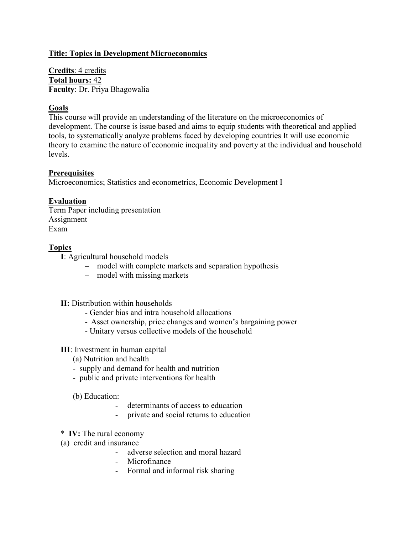# **Title: Topics in Development Microeconomics**

**Credits**: 4 credits **Total hours:** 42 **Faculty**: Dr. Priya Bhagowalia

# **Goals**

This course will provide an understanding of the literature on the microeconomics of development. The course is issue based and aims to equip students with theoretical and applied tools, to systematically analyze problems faced by developing countries It will use economic theory to examine the nature of economic inequality and poverty at the individual and household levels.

## **Prerequisites**

Microeconomics; Statistics and econometrics, Economic Development I

## **Evaluation**

Term Paper including presentation Assignment Exam

## **Topics**

**I**: Agricultural household models

- model with complete markets and separation hypothesis
- model with missing markets

### **II:** Distribution within households

- Gender bias and intra household allocations
- Asset ownership, price changes and women's bargaining power
- Unitary versus collective models of the household

# **III**: Investment in human capital

- (a) Nutrition and health
- supply and demand for health and nutrition
- public and private interventions for health

(b) Education:

- determinants of access to education
- private and social returns to education
- \* **IV:** The rural economy
- (a) credit and insurance
	- adverse selection and moral hazard
	- Microfinance
	- Formal and informal risk sharing